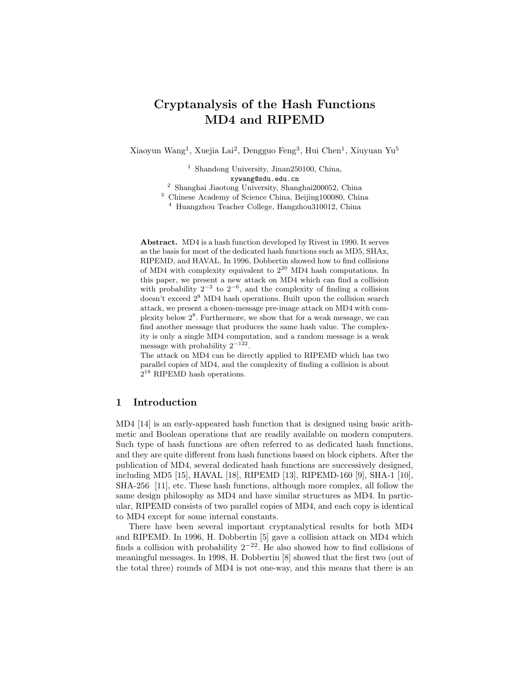# Cryptanalysis of the Hash Functions MD4 and RIPEMD

Xiaoyun Wang<sup>1</sup>, Xuejia Lai<sup>2</sup>, Dengguo Feng<sup>3</sup>, Hui Chen<sup>1</sup>, Xiuyuan Yu<sup>5</sup>

<sup>1</sup> Shandong University, Jinan250100, China, xywang@sdu.edu.cn <sup>2</sup> Shanghai Jiaotong University, Shanghai200052, China <sup>3</sup> Chinese Academy of Science China, Beijing100080, China

<sup>4</sup> Huangzhou Teacher College, Hangzhou310012, China

Abstract. MD4 is a hash function developed by Rivest in 1990. It serves as the basis for most of the dedicated hash functions such as MD5, SHAx, RIPEMD, and HAVAL. In 1996, Dobbertin showed how to find collisions of MD4 with complexity equivalent to  $2^{20}$  MD4 hash computations. In this paper, we present a new attack on MD4 which can find a collision with probability  $2^{-2}$  to  $2^{-6}$ , and the complexity of finding a collision doesn't exceed 2 <sup>8</sup> MD4 hash operations. Built upon the collision search attack, we present a chosen-message pre-image attack on MD4 with complexity below 2 8 . Furthermore, we show that for a weak message, we can find another message that produces the same hash value. The complexity is only a single MD4 computation, and a random message is a weak message with probability  $2^{-122}$ .

The attack on MD4 can be directly applied to RIPEMD which has two parallel copies of MD4, and the complexity of finding a collision is about  $2^{18}$  RIPEMD hash operations.

# 1 Introduction

MD4 [14] is an early-appeared hash function that is designed using basic arithmetic and Boolean operations that are readily available on modern computers. Such type of hash functions are often referred to as dedicated hash functions, and they are quite different from hash functions based on block ciphers. After the publication of MD4, several dedicated hash functions are successively designed, including MD5 [15], HAVAL [18], RIPEMD [13], RIPEMD-160 [9], SHA-1 [10], SHA-256 [11], etc. These hash functions, although more complex, all follow the same design philosophy as MD4 and have similar structures as MD4. In particular, RIPEMD consists of two parallel copies of MD4, and each copy is identical to MD4 except for some internal constants.

There have been several important cryptanalytical results for both MD4 and RIPEMD. In 1996, H. Dobbertin [5] gave a collision attack on MD4 which finds a collision with probability  $2^{-22}$ . He also showed how to find collisions of meaningful messages. In 1998, H. Dobbertin [8] showed that the first two (out of the total three) rounds of MD4 is not one-way, and this means that there is an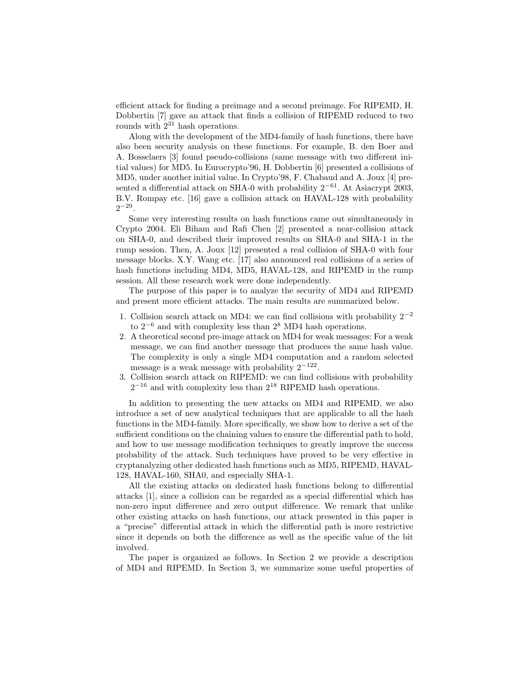efficient attack for finding a preimage and a second preimage. For RIPEMD, H. Dobbertin [7] gave an attack that finds a collision of RIPEMD reduced to two rounds with  $2^{31}$  hash operations.

Along with the development of the MD4-family of hash functions, there have also been security analysis on these functions. For example, B. den Boer and A. Bosselaers [3] found pseudo-collisions (same message with two different initial values) for MD5. In Eurocrypto'96, H. Dobbertin [6] presented a collisions of MD5, under another initial value. In Crypto'98, F. Chabaud and A. Joux [4] presented a differential attack on SHA-0 with probability  $2^{-61}$ . At Asiacrypt 2003, B.V. Rompay etc. [16] gave a collision attack on HAVAL-128 with probability  $2^{-29}$ .

Some very interesting results on hash functions came out simultaneously in Crypto 2004. Eli Biham and Rafi Chen [2] presented a near-collision attack on SHA-0, and described their improved results on SHA-0 and SHA-1 in the rump session. Then, A. Joux [12] presented a real collision of SHA-0 with four message blocks. X.Y. Wang etc. [17] also announced real collisions of a series of hash functions including MD4, MD5, HAVAL-128, and RIPEMD in the rump session. All these research work were done independently.

The purpose of this paper is to analyze the security of MD4 and RIPEMD and present more efficient attacks. The main results are summarized below.

- 1. Collision search attack on MD4: we can find collisions with probability  $2^{-2}$ to  $2^{-6}$  and with complexity less than  $2^8$  MD4 hash operations.
- 2. A theoretical second pre-image attack on MD4 for weak messages: For a weak message, we can find another message that produces the same hash value. The complexity is only a single MD4 computation and a random selected message is a weak message with probability  $2^{-122}$ .
- 3. Collision search attack on RIPEMD: we can find collisions with probability  $2^{-16}$  and with complexity less than  $2^{18}$  RIPEMD hash operations.

In addition to presenting the new attacks on MD4 and RIPEMD, we also introduce a set of new analytical techniques that are applicable to all the hash functions in the MD4-family. More specifically, we show how to derive a set of the sufficient conditions on the chaining values to ensure the differential path to hold, and how to use message modification techniques to greatly improve the success probability of the attack. Such techniques have proved to be very effective in cryptanalyzing other dedicated hash functions such as MD5, RIPEMD, HAVAL-128, HAVAL-160, SHA0, and especially SHA-1.

All the existing attacks on dedicated hash functions belong to differential attacks [1], since a collision can be regarded as a special differential which has non-zero input difference and zero output difference. We remark that unlike other existing attacks on hash functions, our attack presented in this paper is a "precise" differential attack in which the differential path is more restrictive since it depends on both the difference as well as the specific value of the bit involved.

The paper is organized as follows. In Section 2 we provide a description of MD4 and RIPEMD. In Section 3, we summarize some useful properties of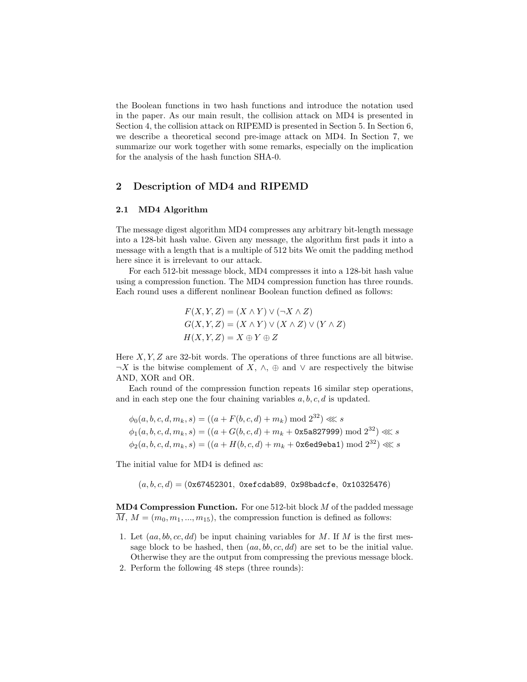the Boolean functions in two hash functions and introduce the notation used in the paper. As our main result, the collision attack on MD4 is presented in Section 4, the collision attack on RIPEMD is presented in Section 5. In Section 6, we describe a theoretical second pre-image attack on MD4. In Section 7, we summarize our work together with some remarks, especially on the implication for the analysis of the hash function SHA-0.

## 2 Description of MD4 and RIPEMD

### 2.1 MD4 Algorithm

The message digest algorithm MD4 compresses any arbitrary bit-length message into a 128-bit hash value. Given any message, the algorithm first pads it into a message with a length that is a multiple of 512 bits We omit the padding method here since it is irrelevant to our attack.

For each 512-bit message block, MD4 compresses it into a 128-bit hash value using a compression function. The MD4 compression function has three rounds. Each round uses a different nonlinear Boolean function defined as follows:

$$
F(X, Y, Z) = (X \wedge Y) \vee (\neg X \wedge Z)
$$
  

$$
G(X, Y, Z) = (X \wedge Y) \vee (X \wedge Z) \vee (Y \wedge Z)
$$
  

$$
H(X, Y, Z) = X \oplus Y \oplus Z
$$

Here  $X, Y, Z$  are 32-bit words. The operations of three functions are all bitwise.  $\neg X$  is the bitwise complement of  $X, \wedge, \oplus$  and  $\vee$  are respectively the bitwise AND, XOR and OR.

Each round of the compression function repeats 16 similar step operations, and in each step one the four chaining variables  $a, b, c, d$  is updated.

$$
\phi_0(a, b, c, d, m_k, s) = ((a + F(b, c, d) + m_k) \mod 2^{32}) \lll s
$$
  

$$
\phi_1(a, b, c, d, m_k, s) = ((a + G(b, c, d) + m_k + 0 \times 5a \times 27999) \mod 2^{32}) \lll s
$$
  

$$
\phi_2(a, b, c, d, m_k, s) = ((a + H(b, c, d) + m_k + 0 \times 6e \text{d}9 \text{e} \text{b} \text{a}1) \mod 2^{32}) \lll s
$$

The initial value for MD4 is defined as:

 $(a, b, c, d) = (0x67452301, 0xefcdab89, 0x98badcfe, 0x10325476)$ 

**MD4 Compression Function.** For one 512-bit block  $M$  of the padded message  $M, M = (m_0, m_1, ..., m_{15})$ , the compression function is defined as follows:

- 1. Let  $(aa, bb, cc, dd)$  be input chaining variables for M. If M is the first message block to be hashed, then  $(aa, bb, cc, dd)$  are set to be the initial value. Otherwise they are the output from compressing the previous message block.
- 2. Perform the following 48 steps (three rounds):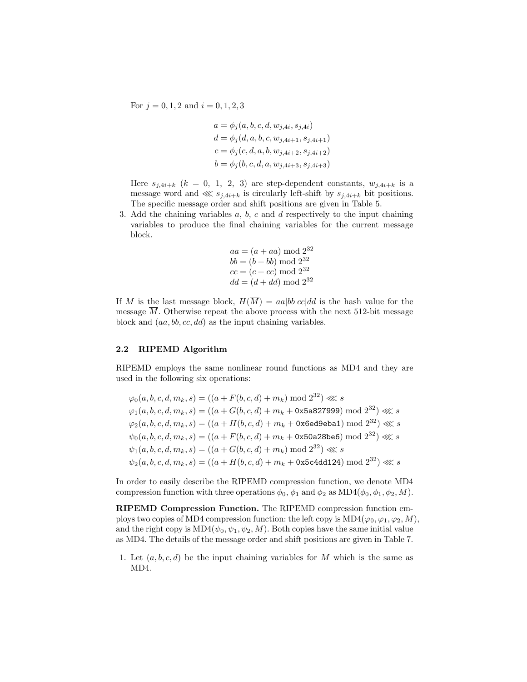For  $j = 0, 1, 2$  and  $i = 0, 1, 2, 3$ 

$$
a = \phi_j(a, b, c, d, w_{j,4i}, s_{j,4i})
$$
  
\n
$$
d = \phi_j(d, a, b, c, w_{j,4i+1}, s_{j,4i+1})
$$
  
\n
$$
c = \phi_j(c, d, a, b, w_{j,4i+2}, s_{j,4i+2})
$$
  
\n
$$
b = \phi_j(b, c, d, a, w_{j,4i+3}, s_{j,4i+3})
$$

Here  $s_{j,4i+k}$   $(k = 0, 1, 2, 3)$  are step-dependent constants,  $w_{j,4i+k}$  is a message word and  $\ll s_{j,4i+k}$  is circularly left-shift by  $s_{j,4i+k}$  bit positions. The specific message order and shift positions are given in Table 5.

3. Add the chaining variables  $a, b, c$  and  $d$  respectively to the input chaining variables to produce the final chaining variables for the current message block.

$$
aa = (a + aa) \mod 2^{32}
$$
  
\n $bb = (b + bb) \mod 2^{32}$   
\n $cc = (c + cc) \mod 2^{32}$   
\n $dd = (d + dd) \mod 2^{32}$ 

If M is the last message block,  $H(\overline{M}) = aa|bb|cc|dd$  is the hash value for the message  $\overline{M}$ . Otherwise repeat the above process with the next 512-bit message block and  $(aa, bb, cc, dd)$  as the input chaining variables.

### 2.2 RIPEMD Algorithm

RIPEMD employs the same nonlinear round functions as MD4 and they are used in the following six operations:

 $\varphi_0(a, b, c, d, m_k, s) = ((a + F(b, c, d) + m_k) \bmod 2^{32}) \lll s$  $\varphi_1(a,b,c,d,m_k,s) = ((a+G(b,c,d)+m_k +$  0x5a827999) mod  $2^{32}) \lll s$  $\varphi_2(a,b,c,d,m_k,s) = ((a+H(b,c,d)+m_k+\texttt{0x6ed9eba1}) \bmod {2^{32}}) \lll s$  $\psi_0(a,b,c,d,m_k,s)=((a+F(b,c,d)+m_k+\texttt{0x50a28be6})\bmod{2^{32}})\lll s$  $\psi_1(a, b, c, d, m_k, s) = ((a + G(b, c, d) + m_k) \bmod 2^{32}) \ll s$  $\psi_2(a,b,c,d,m_k,s)=((a+H(b,c,d)+m_k+\texttt{0x5c4dd124})\bmod{2^{32}})\lll s$ 

In order to easily describe the RIPEMD compression function, we denote MD4 compression function with three operations  $\phi_0$ ,  $\phi_1$  and  $\phi_2$  as MD4( $\phi_0$ ,  $\phi_1$ ,  $\phi_2$ , M).

RIPEMD Compression Function. The RIPEMD compression function employs two copies of MD4 compression function: the left copy is  $MD4(\varphi_0, \varphi_1, \varphi_2, M)$ , and the right copy is  $MD4(\psi_0, \psi_1, \psi_2, M)$ . Both copies have the same initial value as MD4. The details of the message order and shift positions are given in Table 7.

1. Let  $(a, b, c, d)$  be the input chaining variables for M which is the same as MD4.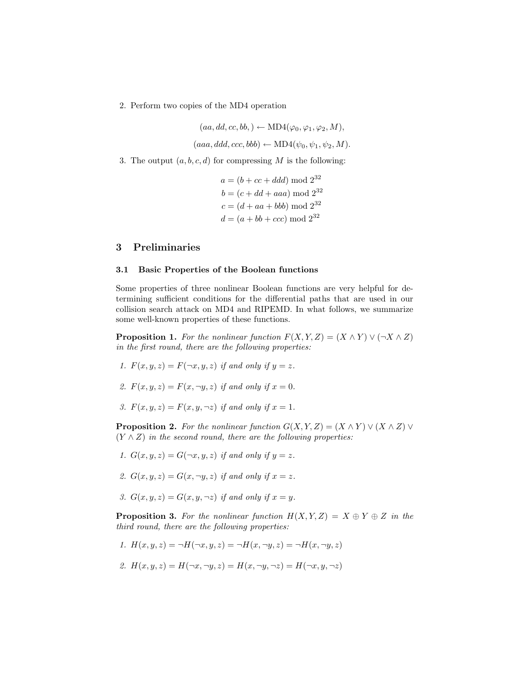2. Perform two copies of the MD4 operation

$$
(aa, dd, cc, bb, ) \leftarrow MD4(\varphi_0, \varphi_1, \varphi_2, M),
$$

 $(aaa, ddd, ccc, bbb) \leftarrow \text{MD4}(\psi_0, \psi_1, \psi_2, M).$ 

3. The output  $(a, b, c, d)$  for compressing M is the following:

$$
a = (b + cc + ddd) \mod 2^{32}
$$
  

$$
b = (c + dd + aaa) \mod 2^{32}
$$
  

$$
c = (d + aa + bbb) \mod 2^{32}
$$
  

$$
d = (a + bb + ccc) \mod 2^{32}
$$

# 3 Preliminaries

#### 3.1 Basic Properties of the Boolean functions

Some properties of three nonlinear Boolean functions are very helpful for determining sufficient conditions for the differential paths that are used in our collision search attack on MD4 and RIPEMD. In what follows, we summarize some well-known properties of these functions.

**Proposition 1.** For the nonlinear function  $F(X, Y, Z) = (X \wedge Y) \vee (\neg X \wedge Z)$ in the first round, there are the following properties:

- 1.  $F(x, y, z) = F(\neg x, y, z)$  if and only if  $y = z$ .
- 2.  $F(x, y, z) = F(x, \neg y, z)$  if and only if  $x = 0$ .
- 3.  $F(x, y, z) = F(x, y, \neg z)$  if and only if  $x = 1$ .

**Proposition 2.** For the nonlinear function  $G(X, Y, Z) = (X \wedge Y) \vee (X \wedge Z) \vee (X \wedge Z)$  $(Y \wedge Z)$  in the second round, there are the following properties:

- 1.  $G(x, y, z) = G(\neg x, y, z)$  if and only if  $y = z$ .
- 2.  $G(x, y, z) = G(x, \neg y, z)$  if and only if  $x = z$ .
- 3.  $G(x, y, z) = G(x, y, \neg z)$  if and only if  $x = y$ .

**Proposition 3.** For the nonlinear function  $H(X, Y, Z) = X \oplus Y \oplus Z$  in the third round, there are the following properties:

- 1.  $H(x, y, z) = \neg H(\neg x, y, z) = \neg H(x, \neg y, z) = \neg H(x, \neg y, z)$
- 2.  $H(x, y, z) = H(\neg x, \neg y, z) = H(x, \neg y, \neg z) = H(\neg x, y, \neg z)$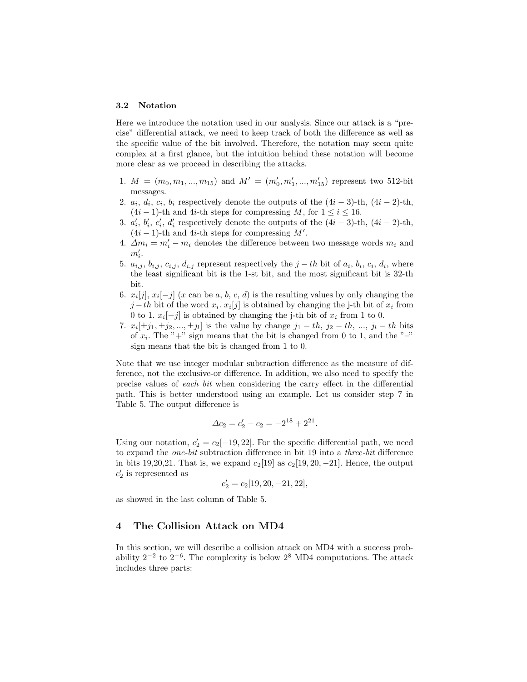#### 3.2 Notation

Here we introduce the notation used in our analysis. Since our attack is a "precise" differential attack, we need to keep track of both the difference as well as the specific value of the bit involved. Therefore, the notation may seem quite complex at a first glance, but the intuition behind these notation will become more clear as we proceed in describing the attacks.

- 1.  $M = (m_0, m_1, ..., m_{15})$  and  $M' = (m'_0, m'_1, ..., m'_{15})$  represent two 512-bit messages.
- 2.  $a_i, d_i, c_i, b_i$  respectively denote the outputs of the  $(4i-3)$ -th,  $(4i-2)$ -th,  $(4i - 1)$ -th and 4*i*-th steps for compressing M, for  $1 \le i \le 16$ .
- 3.  $a'_i, b'_i, c'_i, d'_i$  respectively denote the outputs of the  $(4i-3)$ -th,  $(4i-2)$ -th,  $(4i - 1)$ -th and 4*i*-th steps for compressing M'.
- 4.  $\Delta m_i = m'_i m_i$  denotes the difference between two message words  $m_i$  and  $m_i'$ .
- 5.  $a_{i,j}, b_{i,j}, c_{i,j}, d_{i,j}$  represent respectively the  $j-th$  bit of  $a_i, b_i, c_i, d_i$ , where the least significant bit is the 1-st bit, and the most significant bit is 32-th bit.
- 6.  $x_i[j], x_i[-j]$  (x can be a, b, c, d) is the resulting values by only changing the  $j-th$  bit of the word  $x_i$ .  $x_i[j]$  is obtained by changing the j-th bit of  $x_i$  from 0 to 1.  $x_i[-j]$  is obtained by changing the j-th bit of  $x_i$  from 1 to 0.
- 7.  $x_i[\pm j_1, \pm j_2, ..., \pm j_l]$  is the value by change  $j_1 th$ ,  $j_2 th$ , ...,  $j_l th$  bits of  $x_i$ . The "+" sign means that the bit is changed from 0 to 1, and the "-" sign means that the bit is changed from 1 to 0.

Note that we use integer modular subtraction difference as the measure of difference, not the exclusive-or difference. In addition, we also need to specify the precise values of each bit when considering the carry effect in the differential path. This is better understood using an example. Let us consider step 7 in Table 5. The output difference is

$$
\Delta c_2 = c'_2 - c_2 = -2^{18} + 2^{21}.
$$

Using our notation,  $c_2' = c_2[-19, 22]$ . For the specific differential path, we need to expand the one-bit subtraction difference in bit 19 into a three-bit difference in bits 19,20,21. That is, we expand  $c_2$ [19] as  $c_2$ [19, 20, -21]. Hence, the output  $c_2'$  is represented as

$$
c_{2}^{\prime}=c_{2}[19,20,-21,22],
$$

as showed in the last column of Table 5.

## 4 The Collision Attack on MD4

In this section, we will describe a collision attack on MD4 with a success probability  $2^{-2}$  to  $2^{-6}$ . The complexity is below  $2^8$  MD4 computations. The attack includes three parts: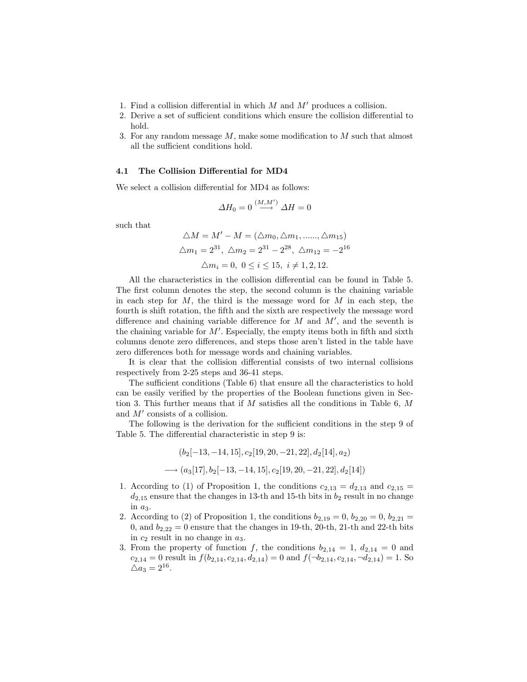- 1. Find a collision differential in which  $M$  and  $M'$  produces a collision.
- 2. Derive a set of sufficient conditions which ensure the collision differential to hold.
- 3. For any random message  $M$ , make some modification to  $M$  such that almost all the sufficient conditions hold.

#### 4.1 The Collision Differential for MD4

We select a collision differential for MD4 as follows:

$$
\Delta H_0 = 0 \stackrel{(M,M')}{\longrightarrow} \Delta H = 0
$$

such that

$$
\Delta M = M' - M = (\Delta m_0, \Delta m_1, \dots, \Delta m_{15})
$$
  

$$
\Delta m_1 = 2^{31}, \ \Delta m_2 = 2^{31} - 2^{28}, \ \Delta m_{12} = -2^{16}
$$
  

$$
\Delta m_i = 0, \ 0 \le i \le 15, \ i \ne 1, 2, 12.
$$

All the characteristics in the collision differential can be found in Table 5. The first column denotes the step, the second column is the chaining variable in each step for  $M$ , the third is the message word for  $M$  in each step, the fourth is shift rotation, the fifth and the sixth are respectively the message word difference and chaining variable difference for  $M$  and  $M'$ , and the seventh is the chaining variable for  $M'$ . Especially, the empty items both in fifth and sixth columns denote zero differences, and steps those aren't listed in the table have zero differences both for message words and chaining variables.

It is clear that the collision differential consists of two internal collisions respectively from 2-25 steps and 36-41 steps.

The sufficient conditions (Table 6) that ensure all the characteristics to hold can be easily verified by the properties of the Boolean functions given in Section 3. This further means that if M satisfies all the conditions in Table 6,  $M$ and  $M'$  consists of a collision.

The following is the derivation for the sufficient conditions in the step 9 of Table 5. The differential characteristic in step 9 is:

$$
(b_2[-13, -14, 15], c_2[19, 20, -21, 22], d_2[14], a_2)
$$
  

$$
\longrightarrow (a_3[17], b_2[-13, -14, 15], c_2[19, 20, -21, 22], d_2[14])
$$

- 1. According to (1) of Proposition 1, the conditions  $c_{2,13} = d_{2,13}$  and  $c_{2,15} =$  $d_{2,15}$  ensure that the changes in 13-th and 15-th bits in  $b_2$  result in no change in  $a_3$ .
- 2. According to (2) of Proposition 1, the conditions  $b_{2,19} = 0$ ,  $b_{2,20} = 0$ ,  $b_{2,21} =$ 0, and  $b_{2,22} = 0$  ensure that the changes in 19-th, 20-th, 21-th and 22-th bits in  $c_2$  result in no change in  $a_3$ .
- 3. From the property of function f, the conditions  $b_{2,14} = 1, d_{2,14} = 0$  and  $c_{2,14} = 0$  result in  $f(b_{2,14}, c_{2,14}, d_{2,14}) = 0$  and  $f(\neg b_{2,14}, c_{2,14}, \neg d_{2,14}) = 1$ . So  $\triangle a_3 = 2^{16}.$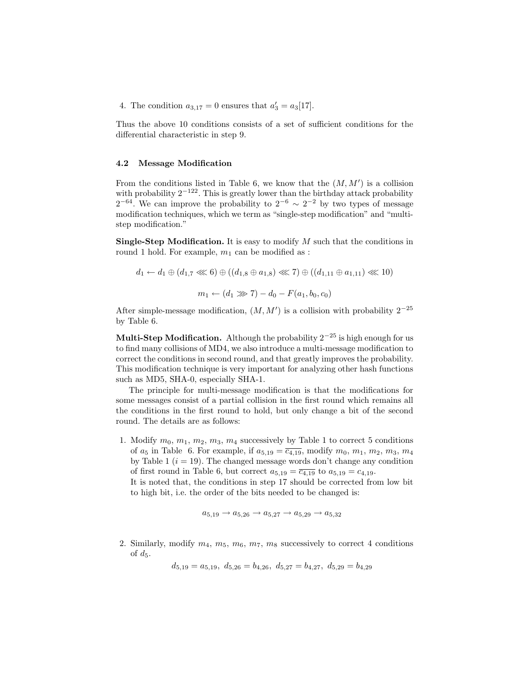4. The condition  $a_{3,17} = 0$  ensures that  $a'_3 = a_3[17]$ .

Thus the above 10 conditions consists of a set of sufficient conditions for the differential characteristic in step 9.

#### 4.2 Message Modification

From the conditions listed in Table 6, we know that the  $(M, M')$  is a collision with probability  $2^{-122}$ . This is greatly lower than the birthday attack probability  $2^{-64}$ . We can improve the probability to  $2^{-6} \sim 2^{-2}$  by two types of message modification techniques, which we term as "single-step modification" and "multistep modification."

**Single-Step Modification.** It is easy to modify  $M$  such that the conditions in round 1 hold. For example,  $m_1$  can be modified as :

$$
d_1 \leftarrow d_1 \oplus (d_{1,7} \lll 6) \oplus ((d_{1,8} \oplus a_{1,8}) \lll 7) \oplus ((d_{1,11} \oplus a_{1,11}) \lll 10)
$$

$$
m_1 \leftarrow (d_1 \ggl 7) - d_0 - F(a_1, b_0, c_0)
$$

After simple-message modification,  $(M, M')$  is a collision with probability  $2^{-25}$ by Table 6.

Multi-Step Modification. Although the probability  $2^{-25}$  is high enough for us to find many collisions of MD4, we also introduce a multi-message modification to correct the conditions in second round, and that greatly improves the probability. This modification technique is very important for analyzing other hash functions such as MD5, SHA-0, especially SHA-1.

The principle for multi-message modification is that the modifications for some messages consist of a partial collision in the first round which remains all the conditions in the first round to hold, but only change a bit of the second round. The details are as follows:

1. Modify  $m_0, m_1, m_2, m_3, m_4$  successively by Table 1 to correct 5 conditions of  $a_5$  in Table 6. For example, if  $a_{5,19} = \overline{c_{4,19}}$ , modify  $m_0, m_1, m_2, m_3, m_4$ by Table 1  $(i = 19)$ . The changed message words don't change any condition of first round in Table 6, but correct  $a_{5,19} = \overline{c_{4,19}}$  to  $a_{5,19} = c_{4,19}$ . It is noted that, the conditions in step 17 should be corrected from low bit to high bit, i.e. the order of the bits needed to be changed is:

$$
a_{5,19} \rightarrow a_{5,26} \rightarrow a_{5,27} \rightarrow a_{5,29} \rightarrow a_{5,32}
$$

2. Similarly, modify  $m_4$ ,  $m_5$ ,  $m_6$ ,  $m_7$ ,  $m_8$  successively to correct 4 conditions of  $d_5$ .

 $d_{5,19} = a_{5,19}, d_{5,26} = b_{4,26}, d_{5,27} = b_{4,27}, d_{5,29} = b_{4,29}$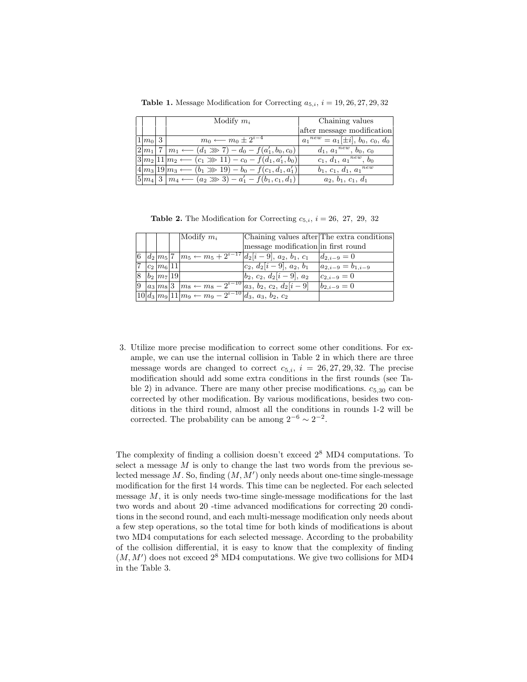|  |                 |     | Modify $m_i$                                                      | Chaining values                         |
|--|-----------------|-----|-------------------------------------------------------------------|-----------------------------------------|
|  |                 |     |                                                                   | after message modification              |
|  | 10 <sub>m</sub> | . 3 | $m_0 \leftarrow m_0 \pm 2^{i-4}$                                  | $a_1^{new} = a_1[\pm i], b_0, c_0, d_0$ |
|  | $2m_1$          |     | $m_1 \longleftarrow (d_1 \ggg 7) - d_0 - f(a'_1, b_0, c_0)$       | $d_1, a_1^{new}, b_0, c_0$              |
|  |                 |     | $3 m_2 11 m_2 \leftarrow (c_1 \gg 11) - c_0 - f(d_1, a'_1, b_0) $ | $c_1, d_1, a_1^{new}, b_0$              |
|  |                 |     | $4 m_3 19 m_3 \leftarrow (b_1 \gg 19) - b_0 - f(c_1, d_1, a'_1)$  | $b_1, c_1, d_1, a_1^{new}$              |
|  |                 |     | $m_4 \longleftarrow (a_2 \ggg 3) - a'_1 - f(b_1, c_1, d_1)$       | $a_2, b_1, c_1, d_1$                    |

Table 1. Message Modification for Correcting  $a_{5,i}$ ,  $i = 19, 26, 27, 29, 32$ 

**Table 2.** The Modification for Correcting  $c_{5,i}$ ,  $i = 26, 27, 29, 32$ 

|  |                                    | Modify $m_i$                                                     | Chaining values after The extra conditions                               |                       |
|--|------------------------------------|------------------------------------------------------------------|--------------------------------------------------------------------------|-----------------------|
|  |                                    |                                                                  | message modification in first round                                      |                       |
|  |                                    |                                                                  | 6 $ d_2 m_5 $ 7 $ m_5 \leftarrow m_5 + 2^{i-17} d_2 i-9 , a_2, b_1, c_1$ | $d_{2,i-9}=0$         |
|  | $c_2 \, m_6 \, 11$                 |                                                                  | $ c_2, d_2[i-9], a_2, b_1 $                                              | $a_{2,i-9}=b_{1,i-9}$ |
|  | $8 \mid b_2 \mid m_7 \mid 19 \mid$ |                                                                  | $ b_2, c_2, d_2 i-9 , a_2$                                               | $c_{2,i-9}=0$         |
|  |                                    |                                                                  | $9 a_3 m_8 3 m_8 \leftarrow m_8 - 2^{i-10} a_3, b_2, c_2, d_2 i-9 $      | $b_{2,i-9}=0$         |
|  |                                    | $10 d_3 m_9 11 m_9 \leftarrow m_9 - 2^{i-10} d_3, a_3, b_2, c_2$ |                                                                          |                       |

3. Utilize more precise modification to correct some other conditions. For example, we can use the internal collision in Table 2 in which there are three message words are changed to correct  $c_{5,i}$ ,  $i = 26, 27, 29, 32$ . The precise modification should add some extra conditions in the first rounds (see Table 2) in advance. There are many other precise modifications.  $c_{5,30}$  can be corrected by other modification. By various modifications, besides two conditions in the third round, almost all the conditions in rounds 1-2 will be corrected. The probability can be among  $2^{-6} \sim 2^{-2}$ .

The complexity of finding a collision doesn't exceed 2 <sup>8</sup> MD4 computations. To select a message  $M$  is only to change the last two words from the previous selected message  $M$ . So, finding  $(M, M')$  only needs about one-time single-message modification for the first 14 words. This time can be neglected. For each selected message  $M$ , it is only needs two-time single-message modifications for the last two words and about 20 -time advanced modifications for correcting 20 conditions in the second round, and each multi-message modification only needs about a few step operations, so the total time for both kinds of modifications is about two MD4 computations for each selected message. According to the probability of the collision differential, it is easy to know that the complexity of finding  $(M, M')$  does not exceed  $2<sup>8</sup>$  MD4 computations. We give two collisions for MD4 in the Table 3.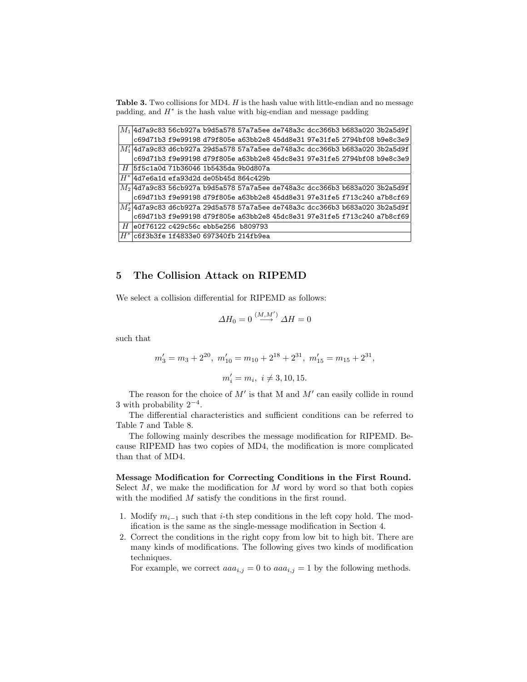Table 3. Two collisions for MD4.  $H$  is the hash value with little-endian and no message padding, and  $H^*$  is the hash value with big-endian and message padding

|                                                   |  |  |  | $\left  M_{1} \right $ 4d7a9c83 56cb927a b9d5a578 57a7a5ee de748a3c dcc366b3 b683a020 3b2a5d9f               |
|---------------------------------------------------|--|--|--|--------------------------------------------------------------------------------------------------------------|
|                                                   |  |  |  | c69d71b3 f9e99198 d79f805e a63bb2e8 45dd8e31 97e31fe5 2794bf08 b9e8c3e9                                      |
|                                                   |  |  |  | $\left  {\rm \textit{M}_1} \right $ 4d7a9c83 d6cb927a 29d5a578 57a7a5ee de748a3c dcc366b3 b683a020 3b2a5d9f  |
|                                                   |  |  |  | c69d71b3 f9e99198 d79f805e a63bb2e8 45dc8e31 97e31fe5 2794bf08 b9e8c3e9                                      |
| $\mid H \mid$ 5f5c1a0d 71b36046 1b5435da 9b0d807a |  |  |  |                                                                                                              |
| $ H^* $ 4d7e6a1d efa93d2d de05b45d 864c429b       |  |  |  |                                                                                                              |
|                                                   |  |  |  | $\vert M_{2} \vert$ 4d7a9c83 56cb927a b9d5a578 57a7a5ee de748a3c dcc366b3 b683a020 3b2a5d9f                  |
|                                                   |  |  |  | c69d71b3 f9e99198 d79f805e a63bb2e8 45dd8e31 97e31fe5 f713c240 a7b8cf69                                      |
|                                                   |  |  |  | $\left  \mathit{M}_2^\prime \right $ 4d7a9c83 d6cb927a 29d5a578 57a7a5ee de748a3c dcc366b3 b683a020 3b2a5d9f |
|                                                   |  |  |  | c69d71b3 f9e99198 d79f805e a63bb2e8 45dc8e31 97e31fe5 f713c240 a7b8cf69                                      |
| $\mid H \mid$ e0f76122 c429c56c ebb5e256 b809793  |  |  |  |                                                                                                              |
| $ H^* $ c6f3b3fe 1f4833e0 697340fb 214fb9ea       |  |  |  |                                                                                                              |

# 5 The Collision Attack on RIPEMD

We select a collision differential for RIPEMD as follows:

$$
\varDelta H_0=0\stackrel{(M,M')}{\longrightarrow}\varDelta H=0
$$

such that

$$
m'_3 = m_3 + 2^{20}
$$
,  $m'_{10} = m_{10} + 2^{18} + 2^{31}$ ,  $m'_{15} = m_{15} + 2^{31}$ ,  
 $m'_i = m_i$ ,  $i \neq 3, 10, 15$ .

The reason for the choice of  $M'$  is that M and  $M'$  can easily collide in round 3 with probability  $2^{-4}$ .

The differential characteristics and sufficient conditions can be referred to Table 7 and Table 8.

The following mainly describes the message modification for RIPEMD. Because RIPEMD has two copies of MD4, the modification is more complicated than that of MD4.

### Message Modification for Correcting Conditions in the First Round.

Select  $M$ , we make the modification for  $M$  word by word so that both copies with the modified M satisfy the conditions in the first round.

- 1. Modify  $m_{i-1}$  such that i-th step conditions in the left copy hold. The modification is the same as the single-message modification in Section 4.
- 2. Correct the conditions in the right copy from low bit to high bit. There are many kinds of modifications. The following gives two kinds of modification techniques.

For example, we correct  $aaa_{i,j} = 0$  to  $aaa_{i,j} = 1$  by the following methods.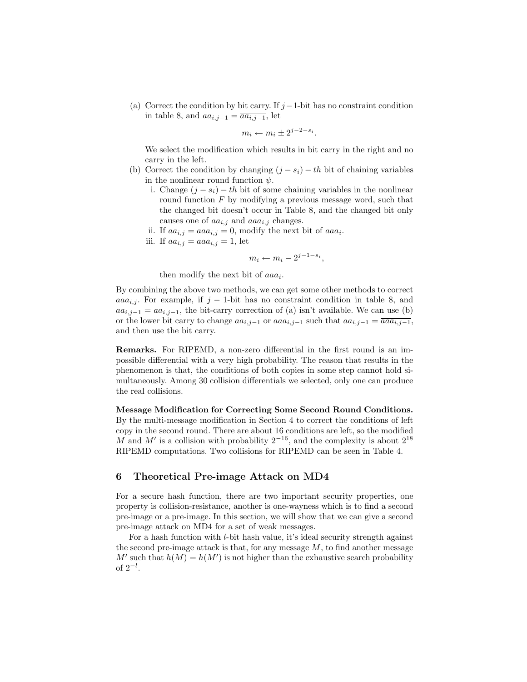(a) Correct the condition by bit carry. If  $j-1$ -bit has no constraint condition in table 8, and  $aa_{i,j-1} = \overline{aa_{i,j-1}}$ , let

$$
m_i \leftarrow m_i \pm 2^{j-2-s_i}.
$$

We select the modification which results in bit carry in the right and no carry in the left.

- (b) Correct the condition by changing  $(j s_i) th$  bit of chaining variables in the nonlinear round function  $\psi$ .
	- i. Change  $(j s_i) th$  bit of some chaining variables in the nonlinear round function  $F$  by modifying a previous message word, such that the changed bit doesn't occur in Table 8, and the changed bit only causes one of  $aa_{i,j}$  and  $aaa_{i,j}$  changes.
	- ii. If  $aa_{i,j} = aaa_{i,j} = 0$ , modify the next bit of  $aaa_i$ .
	- iii. If  $aa_{i,j} = aaa_{i,j} = 1$ , let

$$
m_i \leftarrow m_i - 2^{j-1-s_i},
$$

then modify the next bit of  $aaa_i$ .

By combining the above two methods, we can get some other methods to correct aaa<sub>i,j</sub>. For example, if j – 1-bit has no constraint condition in table 8, and  $aa_{i,j-1} = aa_{i,j-1}$ , the bit-carry correction of (a) isn't available. We can use (b) or the lower bit carry to change  $aa_{i,j-1}$  or  $aaa_{i,j-1}$  such that  $aa_{i,j-1} = \overline{aaa_{i,j-1}}$ , and then use the bit carry.

Remarks. For RIPEMD, a non-zero differential in the first round is an impossible differential with a very high probability. The reason that results in the phenomenon is that, the conditions of both copies in some step cannot hold simultaneously. Among 30 collision differentials we selected, only one can produce the real collisions.

Message Modification for Correcting Some Second Round Conditions. By the multi-message modification in Section 4 to correct the conditions of left copy in the second round. There are about 16 conditions are left, so the modified M and M' is a collision with probability  $2^{-16}$ , and the complexity is about  $2^{18}$ RIPEMD computations. Two collisions for RIPEMD can be seen in Table 4.

# 6 Theoretical Pre-image Attack on MD4

For a secure hash function, there are two important security properties, one property is collision-resistance, another is one-wayness which is to find a second pre-image or a pre-image. In this section, we will show that we can give a second pre-image attack on MD4 for a set of weak messages.

For a hash function with l-bit hash value, it's ideal security strength against the second pre-image attack is that, for any message  $M$ , to find another message  $M'$  such that  $h(M) = h(M')$  is not higher than the exhaustive search probability of  $2^{-l}$ .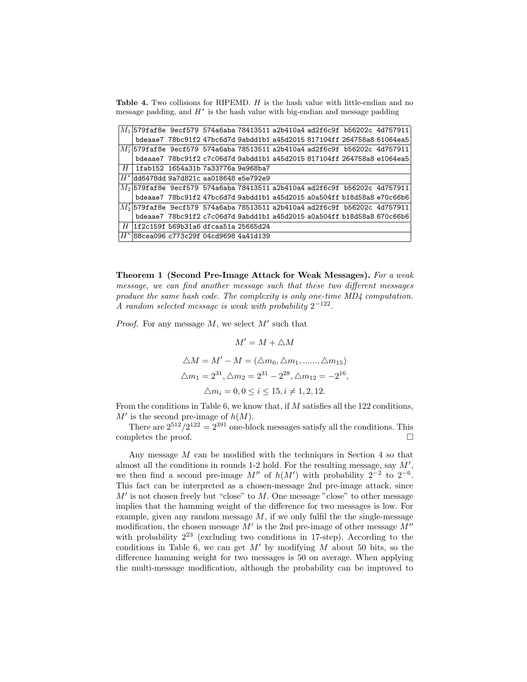Table 4. Two collisions for RIPEMD. H is the hash value with little-endian and no message padding, and  $H^*$  is the hash value with big-endian and message padding

|       |  |                                                       |  |  | $M_1$ 579faf8e 9ecf579 574a6aba 78413511 a2b410a4 ad2f6c9f b56202c 4d757911                                     |
|-------|--|-------------------------------------------------------|--|--|-----------------------------------------------------------------------------------------------------------------|
|       |  |                                                       |  |  | bdeaae7 78bc91f2 47bc6d7d 9abdd1b1 a45d2015 817104ff 264758a8 61064ea5                                          |
|       |  |                                                       |  |  | $\left  {\cal M}_1' \right $ 579faf8e 9ecf579 574a6aba 78513511 a2b410a4 ad2f6c9f b56202c 4d757911              |
|       |  |                                                       |  |  | bdeaae7 78bc91f2 c7c06d7d 9abdd1b1 a45d2015 817104ff 264758a8 e1064ea5                                          |
|       |  | $H$   1fab152 $\,$ 1654a31b 7a33776a 9e968ba7 $\,$    |  |  |                                                                                                                 |
|       |  | $\vert H^* \vert$ dd6478dd 9a7d821c aa018648 e5e792e9 |  |  |                                                                                                                 |
|       |  |                                                       |  |  | $\vert M_{2} \vert$ 579faf8e 9ecf579 574a6aba 78413511 a2b410a4 ad2f6c9f b56202c 4d757911                       |
|       |  |                                                       |  |  | bdeaae7 78bc91f2 47bc6d7d 9abdd1b1 a45d2015 a0a504ff b18d58a8 e70c66b6                                          |
|       |  |                                                       |  |  | $\left  {\rm {\it M}_2 / {\rm 1579faf8e}} \right.$ 9ecf579_574a6aba 78513511 a2b410a4 ad2f6c9f_b56202c_4d757911 |
|       |  |                                                       |  |  | bdeaae7 78bc91f2 c7c06d7d 9abdd1b1 a45d2015 a0a504ff b18d58a8 670c66b6                                          |
|       |  | $\mid$ $H$  1f2c159f 569b31a6 dfcaa51a 25665d24       |  |  |                                                                                                                 |
| $H^*$ |  | 88cea096 c773c29f 04cd9698 4a41d139                   |  |  |                                                                                                                 |

Theorem 1 (Second Pre-Image Attack for Weak Messages). For a weak message, we can find another message such that these two different messages produce the same hash code. The complexity is only one-time MD4 computation. A random selected message is weak with probability  $2^{-122}$ .

*Proof.* For any message  $M$ , we select  $M'$  such that

$$
M' = M + \triangle M
$$
  
\n
$$
\triangle M = M' - M = (\triangle m_0, \triangle m_1, \dots, \triangle m_{15})
$$
  
\n
$$
\triangle m_1 = 2^{31}, \triangle m_2 = 2^{31} - 2^{28}, \triangle m_{12} = -2^{16},
$$
  
\n
$$
\triangle m_i = 0, 0 \le i \le 15, i \ne 1, 2, 12.
$$

From the conditions in Table 6, we know that, if M satisfies all the 122 conditions,  $M'$  is the second pre-image of  $h(M)$ .

There are  $2^{512}/2^{122} = 2^{391}$  one-block messages satisfy all the conditions. This completes the proof.  $\Box$ 

Any message M can be modified with the techniques in Section 4 so that almost all the conditions in rounds  $1-2$  hold. For the resulting message, say  $M'$ , we then find a second pre-image  $M''$  of  $h(M')$  with probability  $2^{-2}$  to  $2^{-6}$ . This fact can be interpreted as a chosen-message 2nd pre-image attack, since  $M'$  is not chosen freely but "close" to  $M$ . One message "close" to other message implies that the hamming weight of the difference for two messages is low. For example, given any random message  $M$ , if we only fulfil the the single-message modification, the chosen message  $M'$  is the 2nd pre-image of other message  $M''$ with probability  $2^{23}$  (excluding two conditions in 17-step). According to the conditions in Table 6, we can get  $M'$  by modifying M about 50 bits, so the difference hamming weight for two messages is 50 on average. When applying the multi-message modification, although the probability can be improved to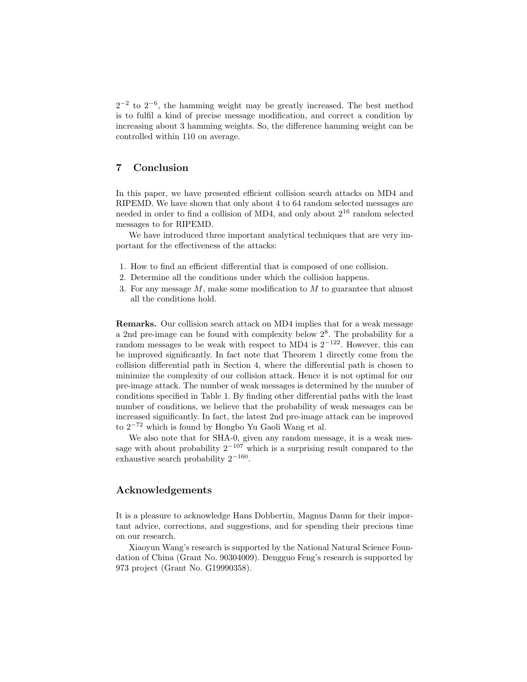$2^{-2}$  to  $2^{-6}$ , the hamming weight may be greatly increased. The best method is to fulfil a kind of precise message modification, and correct a condition by increasing about 3 hamming weights. So, the difference hamming weight can be controlled within 110 on average.

# 7 Conclusion

In this paper, we have presented efficient collision search attacks on MD4 and RIPEMD. We have shown that only about 4 to 64 random selected messages are needed in order to find a collision of MD4, and only about  $2^{16}$  random selected messages to for RIPEMD.

We have introduced three important analytical techniques that are very important for the effectiveness of the attacks:

- 1. How to find an efficient differential that is composed of one collision.
- 2. Determine all the conditions under which the collision happens.
- 3. For any message  $M$ , make some modification to  $M$  to guarantee that almost all the conditions hold.

Remarks. Our collision search attack on MD4 implies that for a weak message a 2nd pre-image can be found with complexity below  $2<sup>8</sup>$ . The probability for a random messages to be weak with respect to MD4 is  $2^{-122}$ . However, this can be improved significantly. In fact note that Theorem 1 directly come from the collision differential path in Section 4, where the differential path is chosen to minimize the complexity of our collision attack. Hence it is not optimal for our pre-image attack. The number of weak messages is determined by the number of conditions specified in Table 1. By finding other differential paths with the least number of conditions, we believe that the probability of weak messages can be increased significantly. In fact, the latest 2nd pre-image attack can be improved to 2 <sup>−</sup><sup>72</sup> which is found by Hongbo Yu Gaoli Wang et al.

We also note that for SHA-0, given any random message, it is a weak message with about probability  $2^{-107}$  which is a surprising result compared to the exhaustive search probability  $2^{-160}$ .

### Acknowledgements

It is a pleasure to acknowledge Hans Dobbertin, Magnus Daum for their important advice, corrections, and suggestions, and for spending their precious time on our research.

Xiaoyun Wang's research is supported by the National Natural Science Foundation of China (Grant No. 90304009). Dengguo Feng's research is supported by 973 project (Grant No. G19990358).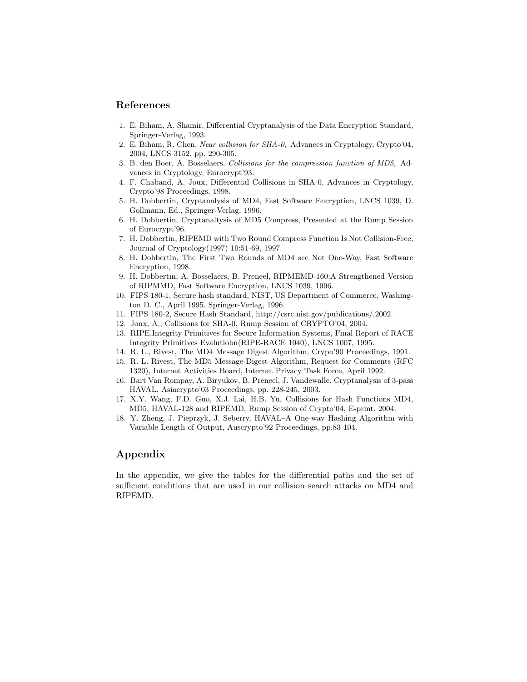## References

- 1. E. Biham, A. Shamir, Differential Cryptanalysis of the Data Encryption Standard, Springer-Verlag, 1993.
- 2. E. Biham, R. Chen, Near collision for SHA-0, Advances in Cryptology, Crypto'04, 2004, LNCS 3152, pp. 290-305.
- 3. B. den Boer, A. Bosselaers, Collisions for the compression function of MD5, Advances in Cryptology, Eurocrypt'93.
- 4. F. Chaband, A. Joux, Differential Collisions in SHA-0, Advances in Cryptology, Crypto'98 Proceedings, 1998.
- 5. H. Dobbertin, Cryptanalysis of MD4, Fast Software Encryption, LNCS 1039, D. Gollmann, Ed., Springer-Verlag, 1996.
- 6. H. Dobbertin, Cryptanaltysis of MD5 Compress, Presented at the Rump Session of Eurocrypt'96.
- 7. H. Dobbertin, RIPEMD with Two Round Compress Function Is Not Collision-Free, Journal of Cryptology(1997) 10:51-69, 1997.
- 8. H. Dobbertin, The First Two Rounds of MD4 are Not One-Way, Fast Software Encryption, 1998.
- 9. H. Dobbertin, A. Bosselaers, B. Preneel, RIPMEMD-160:A Strengthened Version of RIPMMD, Fast Software Encryption, LNCS 1039, 1996.
- 10. FIPS 180-1, Secure hash standard, NIST, US Department of Commerce, Washington D. C., April 1995. Springer-Verlag, 1996.
- 11. FIPS 180-2, Secure Hash Standard, http://csrc.nist.gov/publications/,2002.
- 12. Joux, A., Collisions for SHA-0, Rump Session of CRYPTO'04, 2004.
- 13. RIPE,Integrity Primitives for Secure Information Systems, Final Report of RACE Integrity Primitives Evalutiobn(RIPE-RACE 1040), LNCS 1007, 1995.
- 14. R. L., Rivest, The MD4 Message Digest Algorithm, Crypo'90 Proceedings, 1991.
- 15. R. L. Rivest, The MD5 Message-Digest Algorithm, Request for Comments (RFC 1320), Internet Activities Board, Internet Privacy Task Force, April 1992.
- 16. Bart Van Rompay, A. Biryukov, B. Preneel, J. Vandewalle, Cryptanalysis of 3-pass HAVAL, Asiacrypto'03 Proceedings, pp. 228-245, 2003.
- 17. X.Y. Wang, F.D. Guo, X.J. Lai, H.B. Yu, Collisions for Hash Functions MD4, MD5, HAVAL-128 and RIPEMD, Rump Session of Crypto'04, E-print, 2004.
- 18. Y. Zheng, J. Pieprzyk, J. Seberry, HAVAL–A One-way Hashing Algorithm with Variable Length of Output, Auscrypto'92 Proceedings, pp.83-104.

# Appendix

In the appendix, we give the tables for the differential paths and the set of sufficient conditions that are used in our collision search attacks on MD4 and RIPEMD.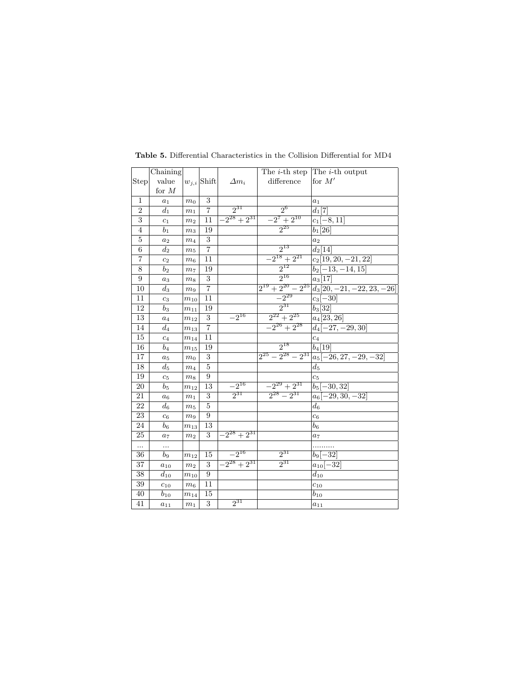|                  | Chaining       |                |                 |                  | The <i>i</i> -th step      | The <i>i</i> -th output        |
|------------------|----------------|----------------|-----------------|------------------|----------------------------|--------------------------------|
| Step             | value          |                | $w_{j,i}$ Shift | $\varDelta m_i$  | difference                 | for $M'$                       |
|                  | for $M$        |                |                 |                  |                            |                                |
| 1                | $a_1$          | m <sub>0</sub> | 3               |                  |                            | $a_1$                          |
| $\overline{2}$   | $d_1$          | m <sub>1</sub> | $\overline{7}$  | $2^{31}$         | $2^6$                      | $d_1[7]$                       |
| $\overline{3}$   | c <sub>1</sub> | m <sub>2</sub> | 11              | $-2^{28}+2^{31}$ | $-2^7+2^{10}$              | $c_1[-8, 11]$                  |
| $\overline{4}$   | b <sub>1</sub> | m <sub>3</sub> | 19              |                  | $2^{25}$                   | $b_1[26]$                      |
| $\overline{5}$   | $a_2$          | m <sub>4</sub> | 3               |                  |                            | a <sub>2</sub>                 |
| $\overline{6}$   | $d_2$          | m <sub>5</sub> | 7               |                  | $2^{13}$                   | $d_2[14]$                      |
| 7                | c <sub>2</sub> | m <sub>6</sub> | 11              |                  | $-2^{18}+2^{21}$           | $c_2$ [19, 20, -21, 22]        |
| $\overline{8}$   | b <sub>2</sub> | m <sub>7</sub> | 19              |                  | $2^{12}$                   | $b_2[-13,-14,15]$              |
| $\boldsymbol{9}$ | $a_3$          | m <sub>8</sub> | $\sqrt{3}$      |                  | $2^{16}$                   | $a_3[17]$                      |
| 10               | $d_3$          | m <sub>9</sub> | $\overline{7}$  |                  | $2^{19} + 2^{20} - 2^{25}$ | $d_3[20, -21, -22, 23, -26]$   |
| 11               | $c_3$          | $m_{\rm 10}$   | 11              |                  | $-2^{29}$                  | $c_3[-30]$                     |
| 12               | b <sub>3</sub> | $m_{11}$       | 19              |                  | 931                        | $b_3[32]$                      |
| 13               | $a_4$          | $m_{12}$       | 3               | $-2^{16}$        | $2^{22}+2^{25}$            | $a_4[23, 26]$                  |
| 14               | $d_4$          | $m_{13}$       | 7               |                  | $-2^{26}+2^{28}$           | $d_4[-27, -29, 30]$            |
| 15               | c <sub>4</sub> | $m_{14}$       | 11              |                  |                            | $c_4$                          |
| 16               | $b_4$          | $m_{15}$       | 19              |                  | $2^{18}$                   | $b_4[19]$                      |
| 17               | $a_5$          | m <sub>0</sub> | 3               |                  | $2^{25} - 2^{28} - 2^{31}$ | $a_5[-26, 27, -29, -32]$       |
| 18               | $d_5$          | m <sub>4</sub> | 5               |                  |                            | $d_5$                          |
| 19               | c <sub>5</sub> | m <sub>8</sub> | 9               |                  |                            | $c_5$                          |
| 20               | $b_{5}$        | $m_{\rm 12}$   | 13              | $-2^{16}$        | $-2^{29}+2^{31}$           | $\overline{b}_5$<br>$-30, 32]$ |
| 21               | $a_6$          | m <sub>1</sub> | 3               | $2^{31}$         | $2^{28} - 2^{31}$          | $-29, 30, -32$<br>$a_6$        |
| 22               | $d_6$          | m <sub>5</sub> | $\bf 5$         |                  |                            | $d_6$                          |
| 23               | c <sub>6</sub> | m <sub>9</sub> | 9               |                  |                            | $\overline{c_6}$               |
| 24               | $b_6$          | $m_{13}$       | 13              |                  |                            | $\mathfrak{b}_6$               |
| 25               | a <sub>7</sub> | m <sub>2</sub> | 3               | $-2^{28}+2^{31}$ |                            | $a_7$                          |
| $\ddotsc$        | $\cdots$       |                |                 |                  |                            |                                |
| 36               | $b_9$          | $m_{12}$       | 15              | $-2^{16}$        | $2^{31}$                   | $b_9[-32]$                     |
| $\overline{37}$  | $a_{10}$       | m <sub>2</sub> | 3               | $-2^{28}+2^{31}$ | 231                        | $a_{10}[-3\overline{2}]$       |
| 38               | $d_{10}$       | $m_{10}$       | 9               |                  |                            | $d_{10}$                       |
| 39               | $c_{10}$       | m <sub>6</sub> | 11              |                  |                            | $c_{10}$                       |
| 40               | $b_{10}$       | $m_{14}$       | 15              |                  |                            | $b_{10}$                       |
| 41               | $a_{11}$       | $\sqrt{m_1}$   | $\overline{3}$  | $2^{31}$         |                            | $a_{11}$                       |

Table 5. Differential Characteristics in the Collision Differential for MD4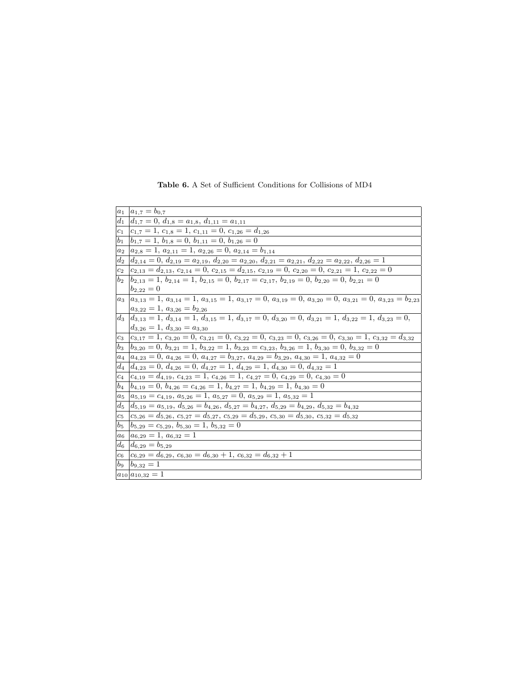|         | $a_1 \, a_{1,7} = b_{0,7}$                                                                                                                    |
|---------|-----------------------------------------------------------------------------------------------------------------------------------------------|
|         | $d_1$ $d_{1,7} = 0, d_{1,8} = a_{1,8}, d_{1,11} = a_{1,11}$                                                                                   |
| $c_1$   | $c_{1,7} = 1, c_{1,8} = 1, c_{1,11} = 0, c_{1,26} = d_{1,26}$                                                                                 |
| $b_1$   | $b_{1,7} = 1, b_{1,8} = 0, b_{1,11} = 0, b_{1,26} = 0$                                                                                        |
| $a_2$   | $a_{2,8} = 1, a_{2,11} = 1, a_{2,26} = 0, a_{2,14} = b_{1,14}$                                                                                |
| $d_2$   | $d_{2,14}=0, d_{2,19}=a_{2,19}, d_{2,20}=a_{2,20}, d_{2,21}=a_{2,21}, d_{2,22}=a_{2,22}, d_{2,26}=1$                                          |
| $c_2$   | $c_{2,13} = d_{2,13}, c_{2,14} = 0, c_{2,15} = d_{2,15}, c_{2,19} = 0, c_{2,20} = 0, c_{2,21} = 1, c_{2,22} = 0$                              |
| $b_2$   | $b_{2,13} = 1, b_{2,14} = 1, b_{2,15} = 0, b_{2,17} = c_{2,17}, b_{2,19} = 0, b_{2,20} = 0, b_{2,21} = 0$                                     |
|         | $b_{2,22}=0$                                                                                                                                  |
|         | $a_3 \mid a_{3,13} = 1, a_{3,14} = 1, a_{3,15} = 1, a_{3,17} = 0, a_{3,19} = 0, a_{3,20} = 0, a_{3,21} = 0, a_{3,23} = b_{2,23}$              |
|         | $a_{3,22} = 1, a_{3,26} = b_{2,26}$                                                                                                           |
|         | $d_3$ $d_{3,13} = 1$ , $d_{3,14} = 1$ , $d_{3,15} = 1$ , $d_{3,17} = 0$ , $d_{3,20} = 0$ , $d_{3,21} = 1$ , $d_{3,22} = 1$ , $d_{3,23} = 0$ , |
|         | $d_{3,26} = 1, d_{3,30} = a_{3,30}$                                                                                                           |
| $c_3$   | $c_{3,17} = 1, c_{3,20} = 0, c_{3,21} = 0, c_{3,22} = 0, c_{3,23} = 0, c_{3,26} = 0, c_{3,30} = 1, c_{3,32} = d_{3,32}$                       |
| $b_3$   | $b_{3,20} = 0, b_{3,21} = 1, b_{3,22} = 1, b_{3,23} = c_{3,23}, b_{3,26} = 1, b_{3,30} = 0, b_{3,32} = 0$                                     |
| $a_4$   | $a_{4,23} = 0, a_{4,26} = 0, a_{4,27} = b_{3,27}, a_{4,29} = b_{3,29}, a_{4,30} = 1, a_{4,32} = 0$                                            |
| $d_4$   | $d_{4,23} = 0, d_{4,26} = 0, d_{4,27} = 1, d_{4,29} = 1, d_{4,30} = 0, d_{4,32} = 1$                                                          |
| $c_4$   | $c_{4,19} = d_{4,19}, c_{4,23} = 1, c_{4,26} = 1, c_{4,27} = 0, c_{4,29} = 0, c_{4,30} = 0$                                                   |
| $b_4$   | $b_{4,19}=0, b_{4,26}=c_{4,26}=1, b_{4,27}=1, b_{4,29}=1, b_{4,30}=0$                                                                         |
| $a_5$   | $a_{5,19} = c_{4,19}, a_{5,26} = 1, a_{5,27} = 0, a_{5,29} = 1, a_{5,32} = 1$                                                                 |
| $d_5$   | $d_{5,19} = a_{5,19}, d_{5,26} = b_{4,26}, d_{5,27} = b_{4,27}, d_{5,29} = b_{4,29}, d_{5,32} = b_{4,32}$                                     |
| $c_5$   | $c_{5,26}=d_{5,26}, c_{5,27}=d_{5,27}, c_{5,29}=d_{5,29}, c_{5,30}=d_{5,30}, c_{5,32}=d_{5,32}$                                               |
| $b_5$   | $b_{5,29}=c_{5,29}, b_{5,30}=1, b_{5,32}=0$                                                                                                   |
| $a_6$   | $a_{6,29} = 1, a_{6,32} = 1$                                                                                                                  |
| $d_{6}$ | $d_{6,29} = b_{5,29}$                                                                                                                         |
| $c_6$   | $c_{6,29} = d_{6,29}, c_{6,30} = d_{6,30} + 1, c_{6,32} = d_{6,32} + 1$                                                                       |
|         | $\overline{b_9}$ $\overline{b_9}$ , $32 = 1$                                                                                                  |
|         | $a_{10} a_{10,32} = 1$                                                                                                                        |

Table 6. A Set of Sufficient Conditions for Collisions of MD4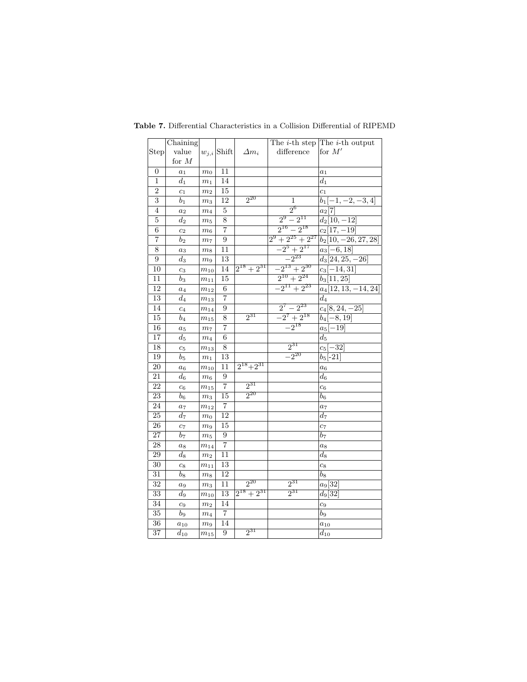|                  | Chaining           |                |                          |                 |                     | The <i>i</i> -th step The <i>i</i> -th output |
|------------------|--------------------|----------------|--------------------------|-----------------|---------------------|-----------------------------------------------|
| Step             | value              |                | $w_{j,i} \, {\rm Shift}$ | $\Delta m_i$    | difference          | for $M'$                                      |
|                  | for $M$            |                |                          |                 |                     |                                               |
| $\boldsymbol{0}$ | $a_1$              | $m_0$          | 11                       |                 |                     | $a_1$                                         |
| $\mathbf{1}$     | $d_1$              | m <sub>1</sub> | 14                       |                 |                     | $d_1$                                         |
| $\overline{2}$   | $c_1$              | m <sub>2</sub> | 15                       |                 |                     | c <sub>1</sub>                                |
| 3                | b <sub>1</sub>     | $\sqrt{m_3}$   | 12                       | $2^{20}$        | 1                   | $b_1[-1,-2,-3,4]$                             |
| 4                | $a_2$              | $m_4$          | $\bf 5$                  |                 | $2^6$               | $a_2[7]$                                      |
| 5                | $d_2$              | m <sub>5</sub> | 8                        |                 | $2^9 - 2^{11}$      | $d_2[10,-12]$                                 |
| $\overline{6}$   | $\overline{c_2}$   | $\,m_6$        | $\overline{7}$           |                 | $2^{16} - 2^{18}$   | $c_2[17,-19]$                                 |
| 7                | $b_2$              | m <sub>7</sub> | 9                        |                 | $2^9+2^{25}+2^{27}$ | $b_2[10, -26, 27, 28]$                        |
| 8                | $a_3$              | m <sub>8</sub> | 11                       |                 | $-2^5+2^{17}$       | $a_3[-6, 18]$                                 |
| 9                | $d_3$              | m <sub>9</sub> | 13                       |                 | $-2^{23}$           | $d_3[24, 25, -26]$                            |
| 10               | $c_3$              | $m_{\rm 10}$   | 14                       | $2^{18}+2^{31}$ | $-2^{13}+2^{30}$    | $c_3[-14,31]$                                 |
| 11               | $\mathfrak{b}_3$   | $m_{11}$       | $\overline{15}$          |                 | $2^{10}+2^{24}$     | $b_3[11,25]$                                  |
| 12               | $a_4$              | $m_{\rm 12}$   | $\,6$                    |                 | $-2^{11}+2^{23}$    | $a_4$ [12, 13, -14, 24]                       |
| 13               | $d_4$              | $m_{13}$       | $\overline{\mathcal{I}}$ |                 |                     | $\scriptstyle{d_4}$                           |
| 14               | $\overline{c_4}$   | $m_{14}$       | $\boldsymbol{9}$         |                 | $2^7 - 2^{23}$      | $c_4[8, 24, -25]$                             |
| 15               | $b_4$              | $m_{15}$       | 8                        | $2^{31}$        | $-2^7+2^{18}$       | $b_4[-8, 19]$                                 |
| 16               | $a_5$              | m <sub>7</sub> | $\overline{7}$           |                 | $-2^{18}$           | $a_5[-\overline{19}]$                         |
| $\overline{17}$  | $\scriptstyle d_5$ | m <sub>4</sub> | $\overline{6}$           |                 |                     | $\scriptstyle d_5$                            |
| 18               | $\mathfrak{c}_5$   | $m_{\rm 13}$   | $\overline{8}$           |                 | $2^{31}$            | $c_5[-32]$                                    |
| 19               | $b_5$              | $m_1$          | 13                       |                 | $-2^{20}$           | $b_5[-21]$                                    |
| 20               | $a_6$              | $m_{\rm 10}$   | 11                       | $2^{18}+2^{31}$ |                     | $a_6$                                         |
| 21               | $\bar{d}_6$        | $\sqrt{m_6}$   | 9                        |                 |                     | $\mathfrak{d}_6$                              |
| 22               | c <sub>6</sub>     | $m_{15}$       | $\overline{7}$           | $2^{31}$        |                     | c <sub>6</sub>                                |
| 23               | $b_6$              | $m_3$          | 15                       | $2^{20}$        |                     | $b_6$                                         |
| 24               | $a_7$              | $m_{12}$       | $\overline{7}$           |                 |                     | $a_7$                                         |
| 25               | $d_7$              | m <sub>0</sub> | 12                       |                 |                     | $d_{7}$                                       |
| 26               | $c_7$              | m <sub>9</sub> | 15                       |                 |                     | $c_7$                                         |
| $\overline{27}$  | b <sub>7</sub>     | m <sub>5</sub> | 9                        |                 |                     | $_{b7}$                                       |
| 28               | $a_8$              | $m_{14}$       | $\overline{7}$           |                 |                     | $a_8$                                         |
| 29               | $d_8$              | m <sub>2</sub> | 11                       |                 |                     | $d_8$                                         |
| $\overline{30}$  | $c_8$              | $m_{11}$       | $\overline{13}$          |                 |                     | $c_8$                                         |
| 31               | $b\mathrm{ }s$     | m <sub>8</sub> | 12                       |                 |                     | $b_8$                                         |
| 32               | $a_9$              | $m_3$          | 11                       | $2^{20}$        | $2^{31}$            | $a_9$ [32]                                    |
| 33               | $d_9$              | $m_{\rm 10}$   | 13                       | $2^{18}+2^{31}$ | $2^{31}$            | $d_9[32]$                                     |
| 34               | $c_9$              | m <sub>2</sub> | 14                       |                 |                     | $c_9$                                         |
| 35               | b <sub>9</sub>     | m <sub>4</sub> | $\overline{7}$           |                 |                     | $b_9$                                         |
| 36               | $a_{10}$           | m <sub>9</sub> | 14                       |                 |                     | $a_{10}$                                      |
| $\overline{37}$  | $d_{10}$           | $m_{15}$       | $\overline{9}$           | $2^{31}$        |                     | $d_{10}$                                      |

Table 7. Differential Characteristics in a Collision Differential of RIPEMD